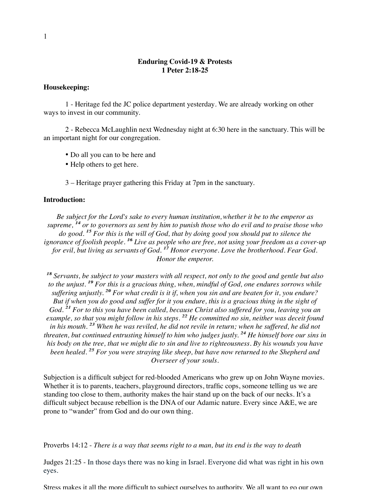### **Enduring Covid-19 & Protests 1 Peter 2:18-25**

### **Housekeeping:**

1 - Heritage fed the JC police department yesterday. We are already working on other ways to invest in our community.

2 - Rebecca McLaughlin next Wednesday night at 6:30 here in the sanctuary. This will be an important night for our congregation.

- Do all you can to be here and
- Help others to get here.

3 – Heritage prayer gathering this Friday at 7pm in the sanctuary.

#### **Introduction:**

*Be subject for the Lord's sake to every human institution,whether it be to the emperor as supreme, 14 14 or to governors as sent by him to punish those who do evil and to praise those who do good. 15 15 For this is the will of God, that by doing good you should put to silence the ignorance of foolish people. 16 16 Live as people who are free, not using your freedom as a cover-up for evil, but living as servants of God.* <sup>17</sup> *Honor everyone. Love the brotherhood. Fear God. Honor the emperor.*

*18 18 Servants, be subject to your masters with all respect, not only to the good and gentle but also to the unjust.* <sup>19</sup> For this is a gracious thing, when, mindful of God, one endures sorrows while *suffering unjustly. 20 20 For what credit is it if, when you sin and are beaten for it, you endure? But if when you do good and suffer for it you endure, this is a gracious thing in the sight of* God.<sup>21</sup> For to this you have been called, because Christ also suffered for you, leaving you an *example, so that you might follow in his steps. 22 22 He committed no sin, neither was deceit found in his mouth. 23 23 When he was reviled, he did not revile in return; when he suffered, he did not threaten, but continued entrusting himself to him who judges justly.* <sup>24</sup> He himself bore our sins in *his body on the tree, that we might die to sin and live to righteousness. By his wounds you have been healed.* <sup>25</sup> For you were straying like sheep, but have now returned to the Shepherd and *Overseer of your souls.*

Subjection is a difficult subject for red-blooded Americans who grew up on John Wayne movies. Whether it is to parents, teachers, playground directors, traffic cops, someone telling us we are standing too close to them, authority makes the hair stand up on the back of our necks. It's a difficult subject because rebellion is the DNA of our Adamic nature. Every since A&E, we are prone to "wander" from God and do our own thing.

Proverbs 14:12 - *There is a way that seems right to a man, but its end is the way to death*

Judges 21:25 - In those days there was no king in Israel. Everyone did what was right in his own eyes.

Stress makes it all the more difficult to subject ourselves to authority. We all want to go our own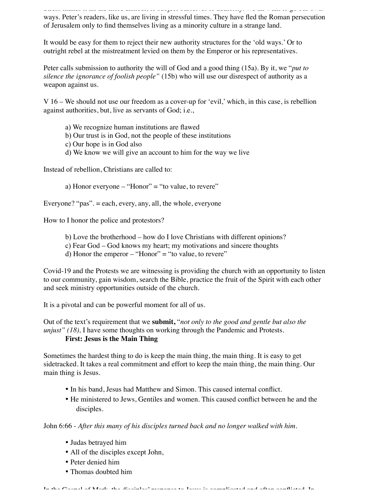Stress makes it all the more difficult to subject ourselves to authority. We all want to go our own ways. Peter's readers, like us, are living in stressful times. They have fled the Roman persecution of Jerusalem only to find themselves living as a minority culture in a strange land.

It would be easy for them to reject their new authority structures for the 'old ways.' Or to outright rebel at the mistreatment levied on them by the Emperor or his representatives.

Peter calls submission to authority the will of God and a good thing (15a). By it, we "*put to silence the ignorance of foolish people"* (15b) who will use our disrespect of authority as a weapon against us.

V 16 – We should not use our freedom as a cover-up for 'evil,' which, in this case, is rebellion against authorities, but, live as servants of God; i.e.,

- a) We recognize human institutions are flawed
- b) Our trust is in God, not the people of these institutions
- c) Our hope is in God also
- d) We know we will give an account to him for the way we live

Instead of rebellion, Christians are called to:

a) Honor everyone – "Honor" = "to value, to revere"

Everyone? "pas". = each, every, any, all, the whole, everyone

How to I honor the police and protestors?

- b) Love the brotherhood how do I love Christians with different opinions?
- c) Fear God God knows my heart; my motivations and sincere thoughts
- d) Honor the emperor  $-$  "Honor" = "to value, to revere"

Covid-19 and the Protests we are witnessing is providing the church with an opportunity to listen to our community, gain wisdom, search the Bible, practice the fruit of the Spirit with each other and seek ministry opportunities outside of the church.

It is a pivotal and can be powerful moment for all of us.

Out of the text's requirement that we **submit,** "*not only to the good and gentle but also the unjust" (18), I have some thoughts on working through the Pandemic and Protests.* **First: Jesus is the Main Thing**

Sometimes the hardest thing to do is keep the main thing, the main thing. It is easy to get sidetracked. It takes a real commitment and effort to keep the main thing, the main thing. Our main thing is Jesus.

- In his band, Jesus had Matthew and Simon. This caused internal conflict.
- He ministered to Jews, Gentiles and women. This caused conflict between he and the disciples.

John 6:66 - *After this many of his disciples turned back and no longer walked with him.*

- Judas betrayed him
- All of the disciples except John,
- Peter denied him
- Thomas doubted him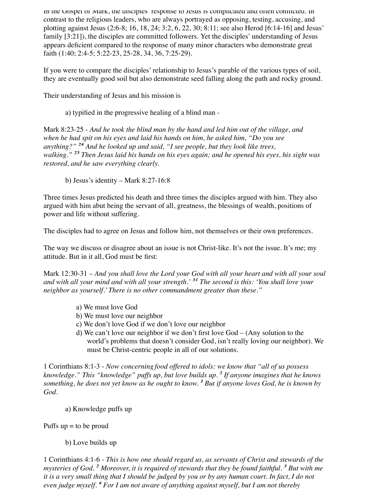In the Gospel of Mark, the disciples' response to Jesus is complicated and often conflicted. In contrast to the religious leaders, who are always portrayed as opposing, testing, accusing, and plotting against Jesus (2:6-8; 16, 18, 24; 3:2, 6, 22, 30; 8:11; see also Herod [6:14-16] and Jesus' family [3:21]), the disciples are committed followers. Yet the disciples' understanding of Jesus appears deficient compared to the response of many minor characters who demonstrate great faith (1:40; 2:4-5; 5:22-23, 25-28, 34, 36, 7:25-29).

If you were to compare the disciples' relationship to Jesus's parable of the various types of soil, they are eventually good soil but also demonstrate seed falling along the path and rocky ground.

Their understanding of Jesus and his mission is

a) typified in the progressive healing of a blind man -

Mark 8:23-25 - *And he took the blind man by the hand and led him out of the village, and when he had spit on his eyes and laid his hands on him, he asked him, "Do you see anything?" 24 24 And he looked up and said, "I see people, but they look like trees, walking." 25 25 Then Jesus laid his hands on his eyes again; and he opened his eyes, his sight was restored, and he saw everything clearly.*

b) Jesus's identity – Mark 8:27-16:8

Three times Jesus predicted his death and three times the disciples argued with him. They also argued with him abut being the servant of all, greatness, the blessings of wealth, positions of power and life without suffering.

The disciples had to agree on Jesus and follow him, not themselves or their own preferences.

The way we discuss or disagree about an issue is not Christ-like. It's not the issue. It's me; my attitude. But in it all, God must be first:

Mark 12:30-31 *– And you shall love the Lord your God with all your heart and with all your soul and with all your mind and with all your strength.' 31 31 The second is this: 'You shall love your neighbor as yourself.' There is no other commandment greater than these."*

- a) We must love God
- b) We must love our neighbor
- c) We don't love God if we don't love our neighbor
- d) We can't love our neighbor if we don't first love God (Any solution to the world's problems that doesn't consider God, isn't really loving our neighbor). We must be Christ-centric people in all of our solutions.

1 Corinthians 8:1-3 - *Now concerning food offered to idols: we know that "all of us possess knowledge." This "knowledge" puffs up, but love builds up. 2 2 If anyone imagines that he knows something, he does not yet know as he ought to know. 3 3 But if anyone loves God, he is known by God*.

a) Knowledge puffs up

Puffs  $up = to be proud$ 

## b) Love builds up

1 Corinthians 4:1-6 - *This is how one should regard us, as servants of Christ and stewards of the mysteries of God. 2 2 Moreover, it is required of stewards that they be found faithful. 3 3 But with me it is a very small thing that I should be judged by you or by any human court. In fact, I do not even judge myself. 4 4 For I am not aware of anything against myself, but I am not thereby*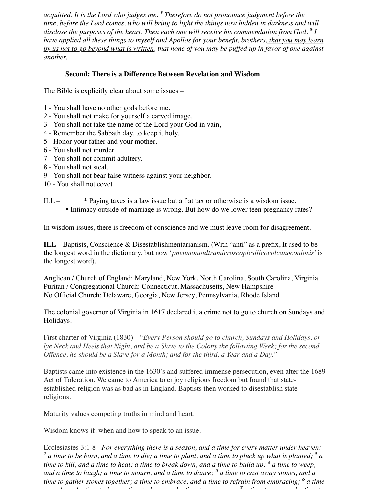*acquitted. It is the Lord who judges me. 5 5 Therefore do not pronounce judgment before the time, before the Lord comes, who will bring to light the things now hidden in darkness and will disclose the purposes of the heart. Then each one will receive his commendation from God.*  $\overline{^6}I$ *have applied all these things to myself and Apollos for your benefit, brothers, that you may learn by us not to go beyond what is written, that none of you may be puffed up in favor of one against another.* 

## **Second: There is a Difference Between Revelation and Wisdom**

The Bible is explicitly clear about some issues –

- 1 You shall have no other gods before me.
- 2 You shall not make for yourself a carved image,
- 3 You shall not take the name of the Lord your God in vain,
- 4 Remember the Sabbath day, to keep it holy.
- 5 Honor your father and your mother,
- 6 You shall not murder.
- 7 You shall not commit adultery.
- 8 You shall not steal.
- 9 You shall not bear false witness against your neighbor.
- 10 You shall not covet

# ILL – \* Paying taxes is a law issue but a flat tax or otherwise is a wisdom issue. • Intimacy outside of marriage is wrong. But how do we lower teen pregnancy rates?

In wisdom issues, there is freedom of conscience and we must leave room for disagreement.

**ILL** – Baptists, Conscience & Disestablishmentarianism. (With "anti" as a prefix, It used to be the longest word in the dictionary, but now '*pneumonoultramicroscopicsilicovolcanoconiosis*' is the longest word).

Anglican / Church of England: Maryland, New York, North Carolina, South Carolina, Virginia Puritan / Congregational Church: Connecticut, Massachusetts, New Hampshire No Official Church: Delaware, Georgia, New Jersey, Pennsylvania, Rhode Island

The colonial governor of Virginia in 1617 declared it a crime not to go to church on Sundays and Holidays.

First charter of Virginia (1830) - *"Every Person should go to church, Sundays and Holidays, or lye Neck and Heels that Night, and be a Slave to the Colony the following Week; for the second Offence, he should be a Slave for a Month; and for the third, a Year and a Day."*

Baptists came into existence in the 1630's and suffered immense persecution, even after the 1689 Act of Toleration. We came to America to enjoy religious freedom but found that stateestablished religion was as bad as in England. Baptists then worked to disestablish state religions.

Maturity values competing truths in mind and heart.

Wisdom knows if, when and how to speak to an issue.

Ecclesiastes 3:1-8 - *For everything there is a season, and a time for every matter under heaven: 2 2 a time to be born, and a time to die; a time to plant, and a time to pluck up what is planted; 3 3 a time to kill, and a time to heal; a time to break down, and a time to build up; 4 4 a time to weep, and a time to laugh; a time to mourn, and a time to dance; 5 5 a time to cast away stones, and a time to gather stones together; a time to embrace, and a time to refrain from embracing; 6 6 a time to seek, and a time to lose; a time to keep, and a time to cast away; 7 7 a time to tear, and a time to*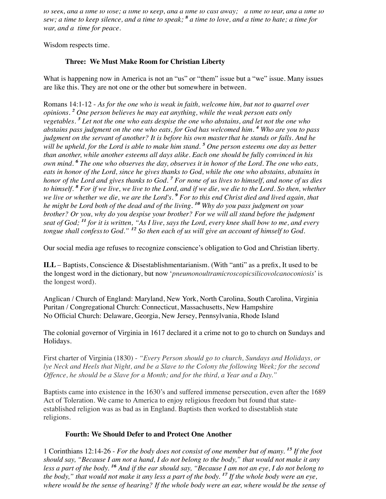*to seek, and a time to lose; a time to keep, and a time to cast away; 7 7 a time to tear, and a time to sew; a time to keep silence, and a time to speak; 8 8 a time to love, and a time to hate; a time for war, and a time for peace.*

Wisdom respects time.

## **Three: We Must Make Room for Christian Liberty**

What is happening now in America is not an "us" or "them" issue but a "we" issue. Many issues are like this. They are not one or the other but somewhere in between.

Romans 14:1-12 - *As for the one who is weak in faith, welcome him, but not to quarrel over opinions. 2 2 One person believes he may eat anything, while the weak person eats only vegetables. 3 3 Let not the one who eats despise the one who abstains, and let not the one who abstains pass judgment on the one who eats, for God has welcomed him. 4 4 Who are you to pass judgment on the servant of another? It is before his own masterthat he stands or falls. And he will be upheld, for the Lord is able to make him stand.*<sup>5</sup> One person esteems one day as better *than another, while another esteems all days alike. Each one should be fully convinced in his own mind. 6 6 The one who observes the day, observes it in honor of the Lord. The one who eats, eats in honor of the Lord, since he gives thanks to God, while the one who abstains, abstains in honor of the Lord and gives thanks to God. 7 7 For none of us lives to himself, and none of us dies to himself. 8 8 For if we live, we live to the Lord, and if we die, we die to the Lord. So then, whether* we live or whether we die, we are the Lord's. <sup>9</sup> For to this end Christ died and lived again, that *he might be Lord both of the dead and of the living.* <sup>10</sup> Why do you pass judgment on your *brother? Or you, why do you despise your brother? For we will all stand before the judgment seat of God;* <sup>*<sup>11</sup></sup> for it is written, "As I live, says the Lord, every knee shall bow to me, and every*</sup> *tongue shall confess to God.*" <sup>12</sup> So then each of us will give an account of himself to God.

Our social media age refuses to recognize conscience's obligation to God and Christian liberty.

**ILL** – Baptists, Conscience & Disestablishmentarianism. (With "anti" as a prefix, It used to be the longest word in the dictionary, but now '*pneumonoultramicroscopicsilicovolcanoconiosis*' is the longest word).

Anglican / Church of England: Maryland, New York, North Carolina, South Carolina, Virginia Puritan / Congregational Church: Connecticut, Massachusetts, New Hampshire No Official Church: Delaware, Georgia, New Jersey, Pennsylvania, Rhode Island

The colonial governor of Virginia in 1617 declared it a crime not to go to church on Sundays and Holidays.

First charter of Virginia (1830) - *"Every Person should go to church, Sundays and Holidays, or lye Neck and Heels that Night, and be a Slave to the Colony the following Week; for the second Offence, he should be a Slave for a Month; and for the third, a Year and a Day."*

Baptists came into existence in the 1630's and suffered immense persecution, even after the 1689 Act of Toleration. We came to America to enjoy religious freedom but found that stateestablished religion was as bad as in England. Baptists then worked to disestablish state religions.

## **Fourth: We Should Defer to and Protect One Another**

1 Corinthians 12:14-26 - *For the body does not consist of one member but of many. 15 15 If the foot should say, "Because I am not a hand, I do not belong to the body," that would not make it any* less a part of the body. <sup>16</sup> And if the ear should say, "Because I am not an eye, I do not belong to *the body," that would not make it any less a part of the body. 17 17 If the whole body were an eye, where would be the sense of hearing? If the whole body were an ear, where would be the sense of*